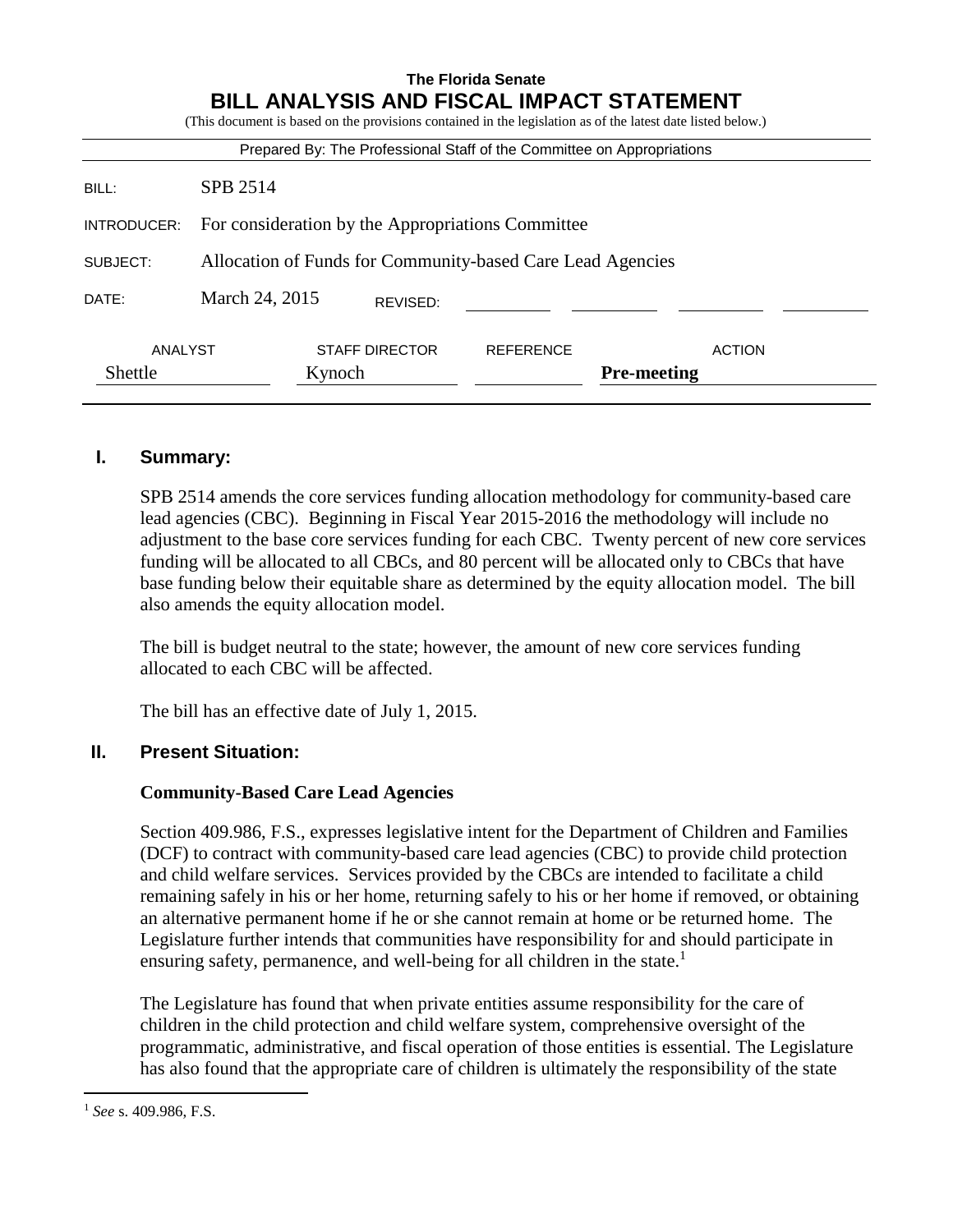|             |                                                            |                                                                        | <b>The Florida Senate</b> |                                                                                                             |  |
|-------------|------------------------------------------------------------|------------------------------------------------------------------------|---------------------------|-------------------------------------------------------------------------------------------------------------|--|
|             |                                                            |                                                                        |                           | <b>BILL ANALYSIS AND FISCAL IMPACT STATEMENT</b>                                                            |  |
|             |                                                            |                                                                        |                           | (This document is based on the provisions contained in the legislation as of the latest date listed below.) |  |
|             |                                                            | Prepared By: The Professional Staff of the Committee on Appropriations |                           |                                                                                                             |  |
| BILL:       | SPB 2514                                                   |                                                                        |                           |                                                                                                             |  |
| INTRODUCER: | For consideration by the Appropriations Committee          |                                                                        |                           |                                                                                                             |  |
| SUBJECT:    | Allocation of Funds for Community-based Care Lead Agencies |                                                                        |                           |                                                                                                             |  |
| DATE:       | March 24, 2015<br>REVISED:                                 |                                                                        |                           |                                                                                                             |  |
| ANALYST     |                                                            | <b>STAFF DIRECTOR</b>                                                  | <b>REFERENCE</b>          | <b>ACTION</b>                                                                                               |  |
| Shettle     |                                                            | Kynoch                                                                 | <b>Pre-meeting</b>        |                                                                                                             |  |
|             |                                                            |                                                                        |                           |                                                                                                             |  |

#### **I. Summary:**

SPB 2514 amends the core services funding allocation methodology for community-based care lead agencies (CBC). Beginning in Fiscal Year 2015-2016 the methodology will include no adjustment to the base core services funding for each CBC. Twenty percent of new core services funding will be allocated to all CBCs, and 80 percent will be allocated only to CBCs that have base funding below their equitable share as determined by the equity allocation model. The bill also amends the equity allocation model.

The bill is budget neutral to the state; however, the amount of new core services funding allocated to each CBC will be affected.

The bill has an effective date of July 1, 2015.

#### **II. Present Situation:**

#### **Community-Based Care Lead Agencies**

Section 409.986, F.S., expresses legislative intent for the Department of Children and Families (DCF) to contract with community-based care lead agencies (CBC) to provide child protection and child welfare services. Services provided by the CBCs are intended to facilitate a child remaining safely in his or her home, returning safely to his or her home if removed, or obtaining an alternative permanent home if he or she cannot remain at home or be returned home. The Legislature further intends that communities have responsibility for and should participate in ensuring safety, permanence, and well-being for all children in the state.<sup>1</sup>

The Legislature has found that when private entities assume responsibility for the care of children in the child protection and child welfare system, comprehensive oversight of the programmatic, administrative, and fiscal operation of those entities is essential. The Legislature has also found that the appropriate care of children is ultimately the responsibility of the state

 $\overline{a}$ 

<sup>1</sup> *See* s. 409.986, F.S.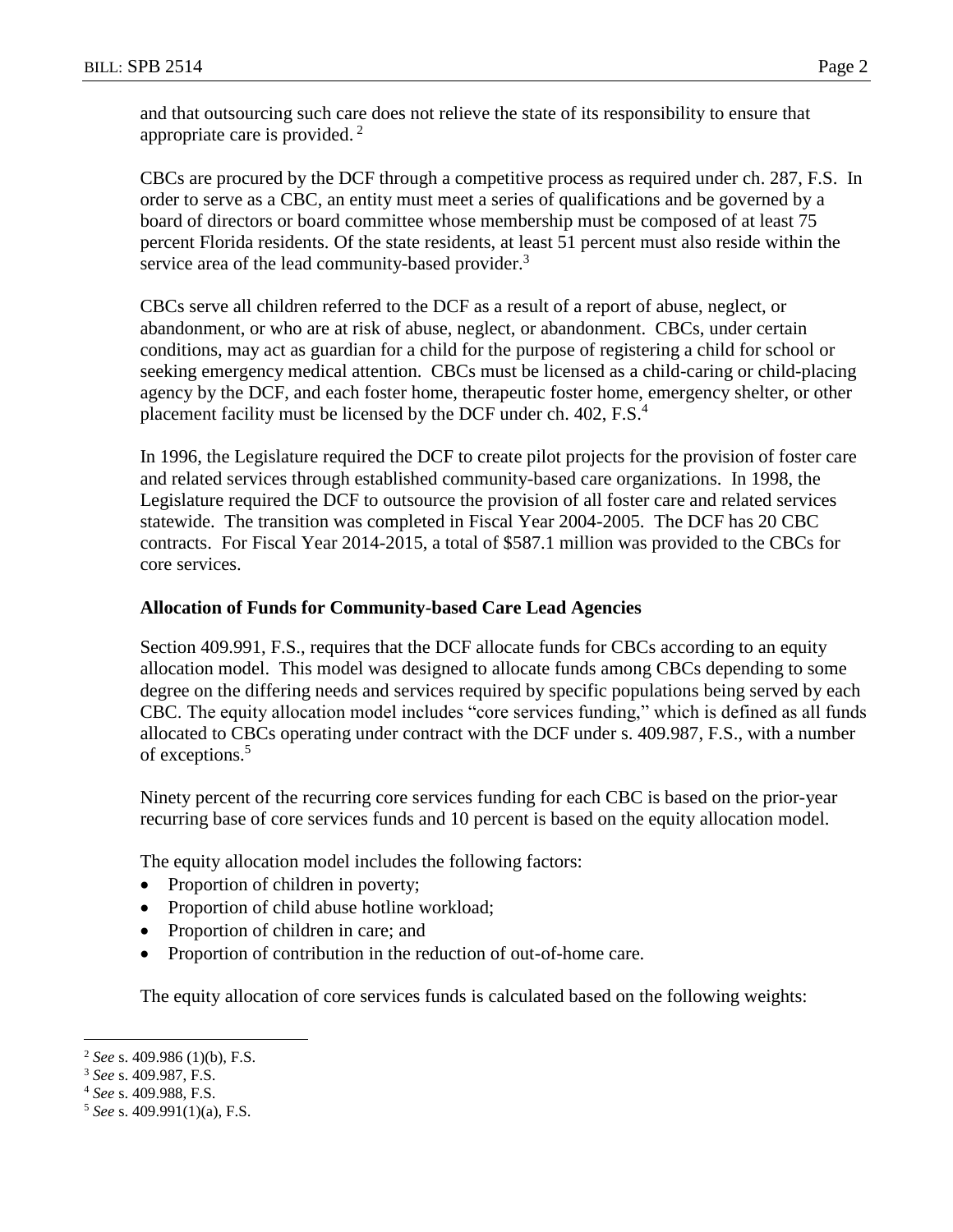and that outsourcing such care does not relieve the state of its responsibility to ensure that appropriate care is provided. <sup>2</sup>

CBCs are procured by the DCF through a competitive process as required under ch. 287, F.S. In order to serve as a CBC, an entity must meet a series of qualifications and be governed by a board of directors or board committee whose membership must be composed of at least 75 percent Florida residents. Of the state residents, at least 51 percent must also reside within the service area of the lead community-based provider.<sup>3</sup>

CBCs serve all children referred to the DCF as a result of a report of abuse, neglect, or abandonment, or who are at risk of abuse, neglect, or abandonment. CBCs, under certain conditions, may act as guardian for a child for the purpose of registering a child for school or seeking emergency medical attention. CBCs must be licensed as a child-caring or child-placing agency by the DCF, and each foster home, therapeutic foster home, emergency shelter, or other placement facility must be licensed by the DCF under ch. 402, F.S.<sup>4</sup>

In 1996, the Legislature required the DCF to create pilot projects for the provision of foster care and related services through established community-based care organizations. In 1998, the Legislature required the DCF to outsource the provision of all foster care and related services statewide. The transition was completed in Fiscal Year 2004-2005. The DCF has 20 CBC contracts. For Fiscal Year 2014-2015, a total of \$587.1 million was provided to the CBCs for core services.

## **Allocation of Funds for Community-based Care Lead Agencies**

Section 409.991, F.S., requires that the DCF allocate funds for CBCs according to an equity allocation model. This model was designed to allocate funds among CBCs depending to some degree on the differing needs and services required by specific populations being served by each CBC. The equity allocation model includes "core services funding," which is defined as all funds allocated to CBCs operating under contract with the DCF under s. 409.987, F.S., with a number of exceptions.<sup>5</sup>

Ninety percent of the recurring core services funding for each CBC is based on the prior-year recurring base of core services funds and 10 percent is based on the equity allocation model.

The equity allocation model includes the following factors:

- Proportion of children in poverty;
- Proportion of child abuse hotline workload;
- Proportion of children in care; and
- Proportion of contribution in the reduction of out-of-home care.

The equity allocation of core services funds is calculated based on the following weights:

 $\overline{a}$ <sup>2</sup> *See* s. 409.986 (1)(b), F.S.

<sup>3</sup> *See* s. 409.987, F.S.

<sup>4</sup> *See* s. 409.988, F.S.

<sup>5</sup> *See* s. 409.991(1)(a), F.S.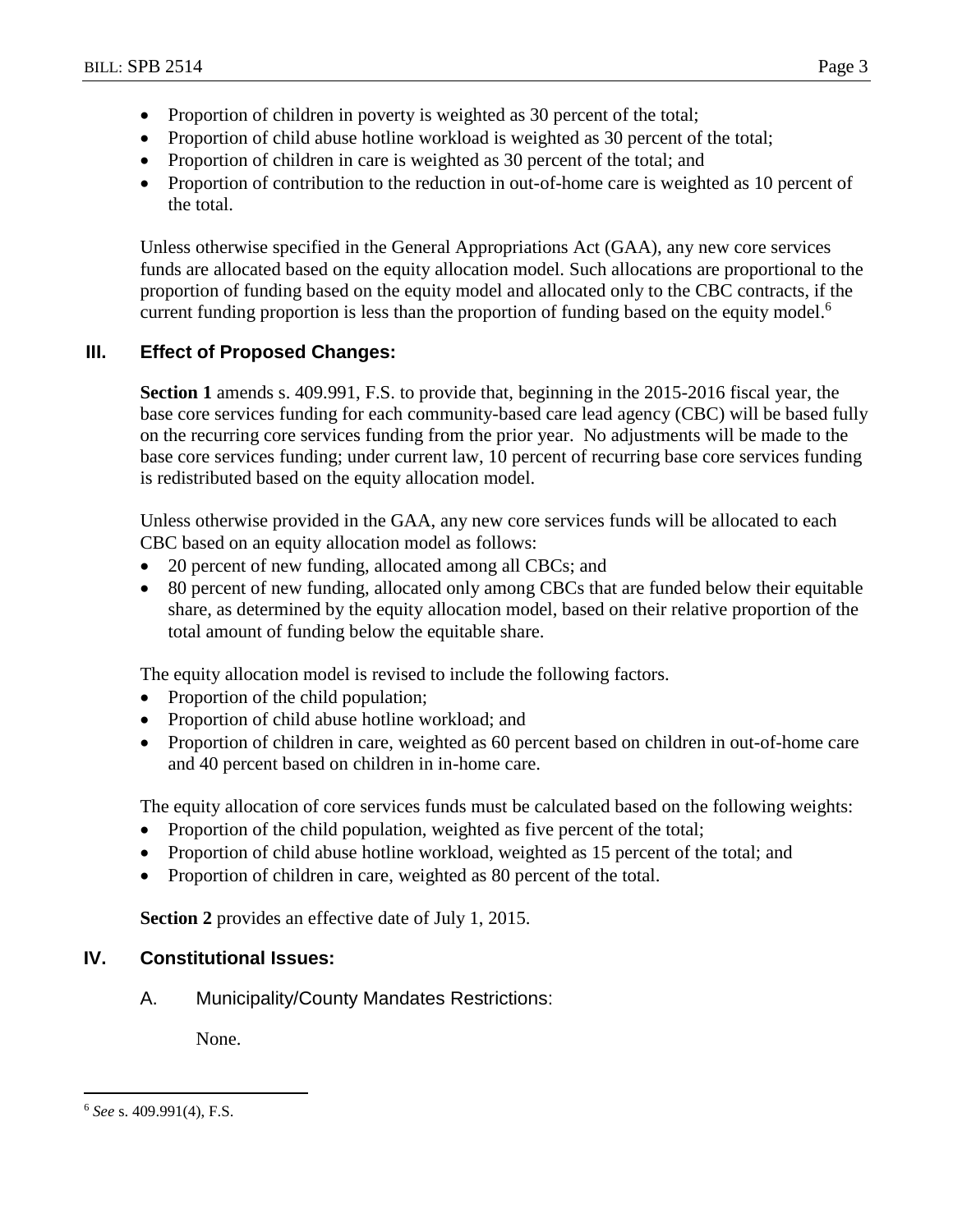- Proportion of children in poverty is weighted as 30 percent of the total;
- Proportion of child abuse hotline workload is weighted as 30 percent of the total;
- Proportion of children in care is weighted as 30 percent of the total; and
- Proportion of contribution to the reduction in out-of-home care is weighted as 10 percent of the total.

Unless otherwise specified in the General Appropriations Act (GAA), any new core services funds are allocated based on the equity allocation model. Such allocations are proportional to the proportion of funding based on the equity model and allocated only to the CBC contracts, if the current funding proportion is less than the proportion of funding based on the equity model.<sup>6</sup>

# **III. Effect of Proposed Changes:**

**Section 1** amends s. 409.991, F.S. to provide that, beginning in the 2015-2016 fiscal year, the base core services funding for each community-based care lead agency (CBC) will be based fully on the recurring core services funding from the prior year. No adjustments will be made to the base core services funding; under current law, 10 percent of recurring base core services funding is redistributed based on the equity allocation model.

Unless otherwise provided in the GAA, any new core services funds will be allocated to each CBC based on an equity allocation model as follows:

- 20 percent of new funding, allocated among all CBCs; and
- 80 percent of new funding, allocated only among CBCs that are funded below their equitable share, as determined by the equity allocation model, based on their relative proportion of the total amount of funding below the equitable share.

The equity allocation model is revised to include the following factors.

- Proportion of the child population;
- Proportion of child abuse hotline workload; and
- Proportion of children in care, weighted as 60 percent based on children in out-of-home care and 40 percent based on children in in-home care.

The equity allocation of core services funds must be calculated based on the following weights:

- Proportion of the child population, weighted as five percent of the total;
- Proportion of child abuse hotline workload, weighted as 15 percent of the total; and
- Proportion of children in care, weighted as 80 percent of the total.

**Section 2** provides an effective date of July 1, 2015.

# **IV. Constitutional Issues:**

A. Municipality/County Mandates Restrictions:

None.

 $\overline{a}$ <sup>6</sup> *See* s. 409.991(4), F.S.